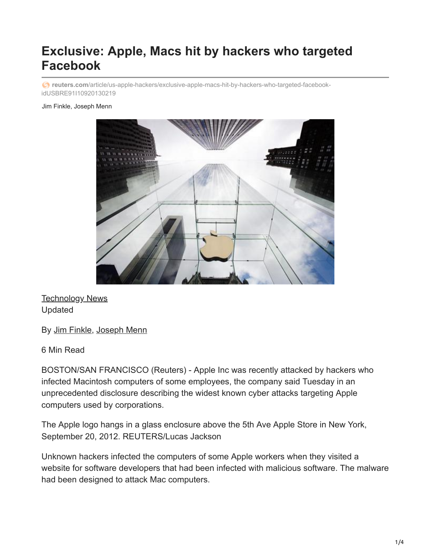## **Exclusive: Apple, Macs hit by hackers who targeted Facebook**

**reuters.com**[/article/us-apple-hackers/exclusive-apple-macs-hit-by-hackers-who-targeted-facebook](https://www.reuters.com/article/us-apple-hackers/exclusive-apple-macs-hit-by-hackers-who-targeted-facebook-idUSBRE91I10920130219)idUSBRE91I10920130219

## Jim Finkle, Joseph Menn



[Technology News](https://www.reuters.com/news/archive/technologyNews) Updated

By [Jim Finkle](https://www.reuters.com/journalists/jim-finkle), [Joseph Menn](https://www.reuters.com/journalists/joseph-menn)

6 Min Read

BOSTON/SAN FRANCISCO (Reuters) - Apple Inc was recently attacked by hackers who infected Macintosh computers of some employees, the company said Tuesday in an unprecedented disclosure describing the widest known cyber attacks targeting Apple computers used by corporations.

The Apple logo hangs in a glass enclosure above the 5th Ave Apple Store in New York, September 20, 2012. REUTERS/Lucas Jackson

Unknown hackers infected the computers of some Apple workers when they visited a website for software developers that had been infected with malicious software. The malware had been designed to attack Mac computers.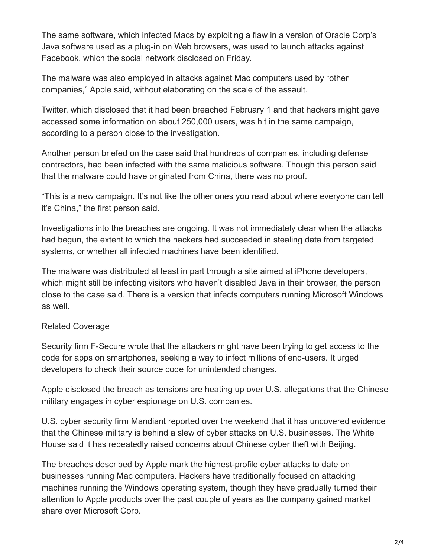The same software, which infected Macs by exploiting a flaw in a version of Oracle Corp's Java software used as a plug-in on Web browsers, was used to launch attacks against Facebook, which the social network disclosed on Friday.

The malware was also employed in attacks against Mac computers used by "other companies," Apple said, without elaborating on the scale of the assault.

Twitter, which disclosed that it had been breached February 1 and that hackers might gave accessed some information on about 250,000 users, was hit in the same campaign, according to a person close to the investigation.

Another person briefed on the case said that hundreds of companies, including defense contractors, had been infected with the same malicious software. Though this person said that the malware could have originated from China, there was no proof.

"This is a new campaign. It's not like the other ones you read about where everyone can tell it's China," the first person said.

Investigations into the breaches are ongoing. It was not immediately clear when the attacks had begun, the extent to which the hackers had succeeded in stealing data from targeted systems, or whether all infected machines have been identified.

The malware was distributed at least in part through a site aimed at iPhone developers, which might still be infecting visitors who haven't disabled Java in their browser, the person close to the case said. There is a version that infects computers running Microsoft Windows as well.

## Related Coverage

Security firm F-Secure wrote that the attackers might have been trying to get access to the code for apps on smartphones, seeking a way to infect millions of end-users. It urged developers to check their source code for unintended changes.

Apple disclosed the breach as tensions are heating up over U.S. allegations that the Chinese military engages in cyber espionage on U.S. companies.

U.S. cyber security firm Mandiant reported over the weekend that it has uncovered evidence that the Chinese military is behind a slew of cyber attacks on U.S. businesses. The White House said it has repeatedly raised concerns about Chinese cyber theft with Beijing.

The breaches described by Apple mark the highest-profile cyber attacks to date on businesses running Mac computers. Hackers have traditionally focused on attacking machines running the Windows operating system, though they have gradually turned their attention to Apple products over the past couple of years as the company gained market share over Microsoft Corp.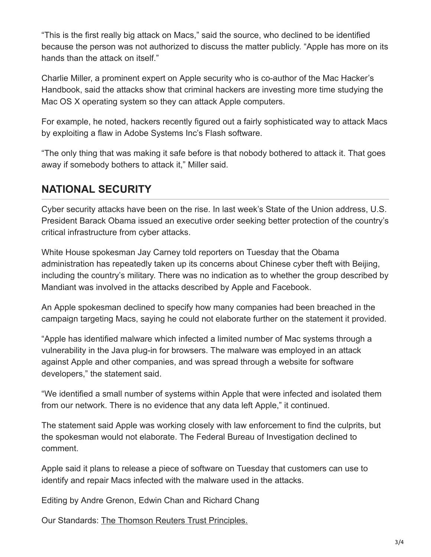"This is the first really big attack on Macs," said the source, who declined to be identified because the person was not authorized to discuss the matter publicly. "Apple has more on its hands than the attack on itself."

Charlie Miller, a prominent expert on Apple security who is co-author of the Mac Hacker's Handbook, said the attacks show that criminal hackers are investing more time studying the Mac OS X operating system so they can attack Apple computers.

For example, he noted, hackers recently figured out a fairly sophisticated way to attack Macs by exploiting a flaw in Adobe Systems Inc's Flash software.

"The only thing that was making it safe before is that nobody bothered to attack it. That goes away if somebody bothers to attack it," Miller said.

## **NATIONAL SECURITY**

Cyber security attacks have been on the rise. In last week's State of the Union address, U.S. President Barack Obama issued an executive order seeking better protection of the country's critical infrastructure from cyber attacks.

White House spokesman Jay Carney told reporters on Tuesday that the Obama administration has repeatedly taken up its concerns about Chinese cyber theft with Beijing, including the country's military. There was no indication as to whether the group described by Mandiant was involved in the attacks described by Apple and Facebook.

An Apple spokesman declined to specify how many companies had been breached in the campaign targeting Macs, saying he could not elaborate further on the statement it provided.

"Apple has identified malware which infected a limited number of Mac systems through a vulnerability in the Java plug-in for browsers. The malware was employed in an attack against Apple and other companies, and was spread through a website for software developers," the statement said.

"We identified a small number of systems within Apple that were infected and isolated them from our network. There is no evidence that any data left Apple," it continued.

The statement said Apple was working closely with law enforcement to find the culprits, but the spokesman would not elaborate. The Federal Bureau of Investigation declined to comment.

Apple said it plans to release a piece of software on Tuesday that customers can use to identify and repair Macs infected with the malware used in the attacks.

Editing by Andre Grenon, Edwin Chan and Richard Chang

Our Standards: [The Thomson Reuters Trust Principles.](http://thomsonreuters.com/en/about-us/trust-principles.html)